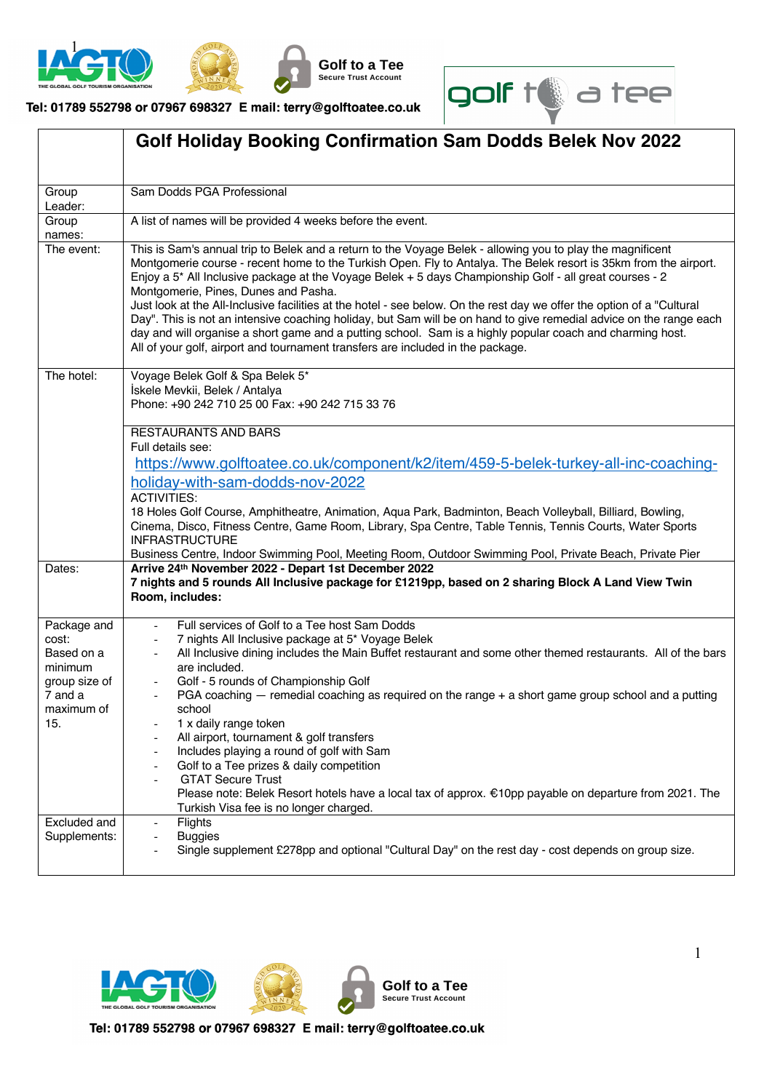



Tel: 01789 552798 or 07967 698327 E mail: terry@golftoatee.co.uk

**Golf to a Tee** Secure Trust Account



|                                                                                                | <b>Golf Holiday Booking Confirmation Sam Dodds Belek Nov 2022</b>                                                                                                                                                                                                                                                                                                                                                                                                                                                                                                                                                                                                                                                                                                                                                                 |  |  |  |  |  |  |  |  |
|------------------------------------------------------------------------------------------------|-----------------------------------------------------------------------------------------------------------------------------------------------------------------------------------------------------------------------------------------------------------------------------------------------------------------------------------------------------------------------------------------------------------------------------------------------------------------------------------------------------------------------------------------------------------------------------------------------------------------------------------------------------------------------------------------------------------------------------------------------------------------------------------------------------------------------------------|--|--|--|--|--|--|--|--|
| Group<br>Leader:                                                                               | Sam Dodds PGA Professional                                                                                                                                                                                                                                                                                                                                                                                                                                                                                                                                                                                                                                                                                                                                                                                                        |  |  |  |  |  |  |  |  |
| Group<br>names:                                                                                | A list of names will be provided 4 weeks before the event.                                                                                                                                                                                                                                                                                                                                                                                                                                                                                                                                                                                                                                                                                                                                                                        |  |  |  |  |  |  |  |  |
| The event:                                                                                     | This is Sam's annual trip to Belek and a return to the Voyage Belek - allowing you to play the magnificent<br>Montgomerie course - recent home to the Turkish Open. Fly to Antalya. The Belek resort is 35km from the airport.<br>Enjoy a 5* All Inclusive package at the Voyage Belek + 5 days Championship Golf - all great courses - 2<br>Montgomerie, Pines, Dunes and Pasha.<br>Just look at the All-Inclusive facilities at the hotel - see below. On the rest day we offer the option of a "Cultural<br>Day". This is not an intensive coaching holiday, but Sam will be on hand to give remedial advice on the range each<br>day and will organise a short game and a putting school. Sam is a highly popular coach and charming host.<br>All of your golf, airport and tournament transfers are included in the package. |  |  |  |  |  |  |  |  |
| The hotel:                                                                                     | Voyage Belek Golf & Spa Belek 5*<br>İskele Mevkii, Belek / Antalya<br>Phone: +90 242 710 25 00 Fax: +90 242 715 33 76                                                                                                                                                                                                                                                                                                                                                                                                                                                                                                                                                                                                                                                                                                             |  |  |  |  |  |  |  |  |
|                                                                                                | <b>RESTAURANTS AND BARS</b><br>Full details see:<br>https://www.golftoatee.co.uk/component/k2/item/459-5-belek-turkey-all-inc-coaching-<br>holiday-with-sam-dodds-nov-2022<br><b>ACTIVITIES:</b><br>18 Holes Golf Course, Amphitheatre, Animation, Aqua Park, Badminton, Beach Volleyball, Billiard, Bowling,<br>Cinema, Disco, Fitness Centre, Game Room, Library, Spa Centre, Table Tennis, Tennis Courts, Water Sports<br><b>INFRASTRUCTURE</b><br>Business Centre, Indoor Swimming Pool, Meeting Room, Outdoor Swimming Pool, Private Beach, Private Pier                                                                                                                                                                                                                                                                     |  |  |  |  |  |  |  |  |
| Dates:                                                                                         | Arrive 24th November 2022 - Depart 1st December 2022<br>7 nights and 5 rounds All Inclusive package for £1219pp, based on 2 sharing Block A Land View Twin<br>Room, includes:                                                                                                                                                                                                                                                                                                                                                                                                                                                                                                                                                                                                                                                     |  |  |  |  |  |  |  |  |
| Package and<br>cost:<br>Based on a<br>minimum<br>group size of<br>7 and a<br>maximum of<br>15. | Full services of Golf to a Tee host Sam Dodds<br>7 nights All Inclusive package at 5* Voyage Belek<br>All Inclusive dining includes the Main Buffet restaurant and some other themed restaurants. All of the bars<br>are included.<br>Golf - 5 rounds of Championship Golf<br>PGA coaching — remedial coaching as required on the range + a short game group school and a putting<br>school<br>1 x daily range token<br>All airport, tournament & golf transfers<br>Includes playing a round of golf with Sam<br>Golf to a Tee prizes & daily competition<br><b>GTAT Secure Trust</b><br>Please note: Belek Resort hotels have a local tax of approx. €10pp payable on departure from 2021. The<br>Turkish Visa fee is no longer charged.                                                                                         |  |  |  |  |  |  |  |  |
| Excluded and<br>Supplements:                                                                   | Flights<br>$\overline{\phantom{0}}$<br><b>Buggies</b><br>Single supplement £278pp and optional "Cultural Day" on the rest day - cost depends on group size.                                                                                                                                                                                                                                                                                                                                                                                                                                                                                                                                                                                                                                                                       |  |  |  |  |  |  |  |  |